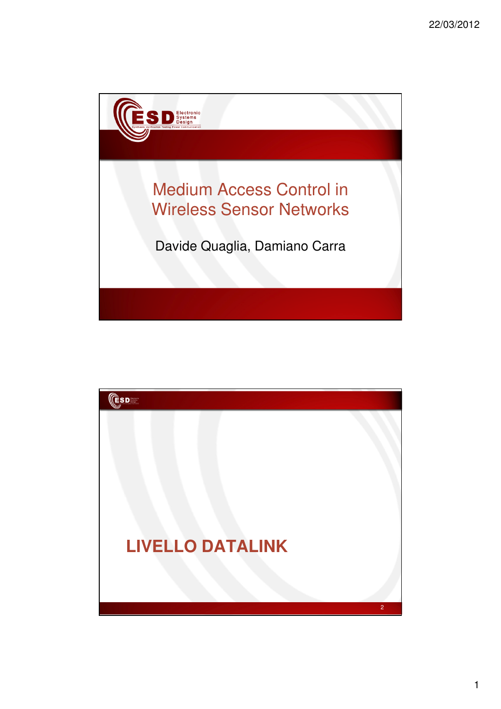

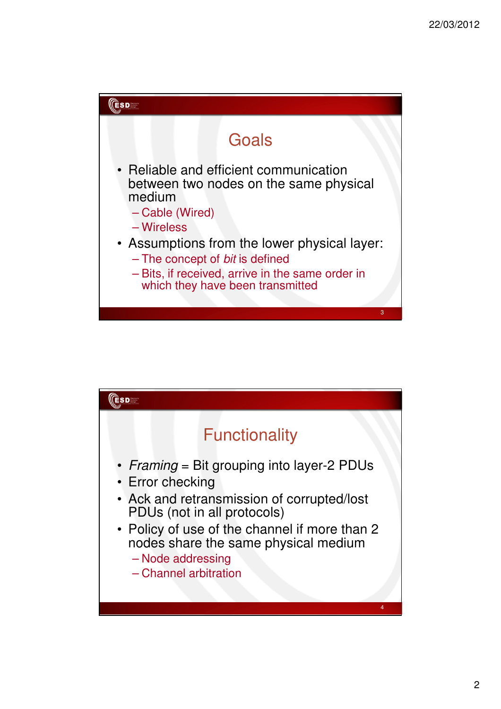

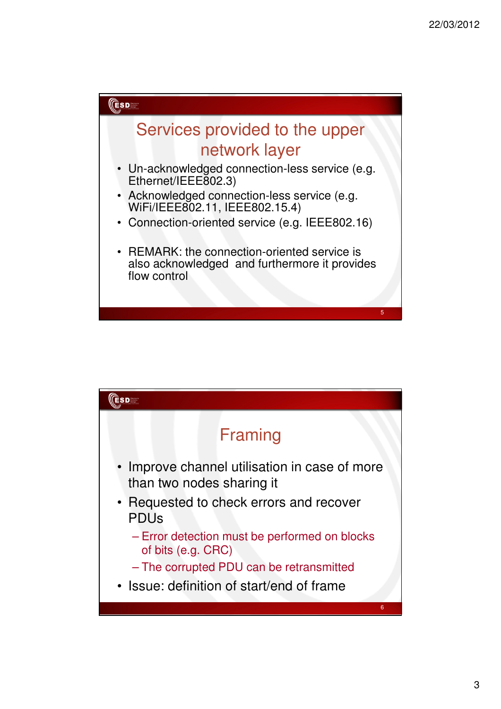



3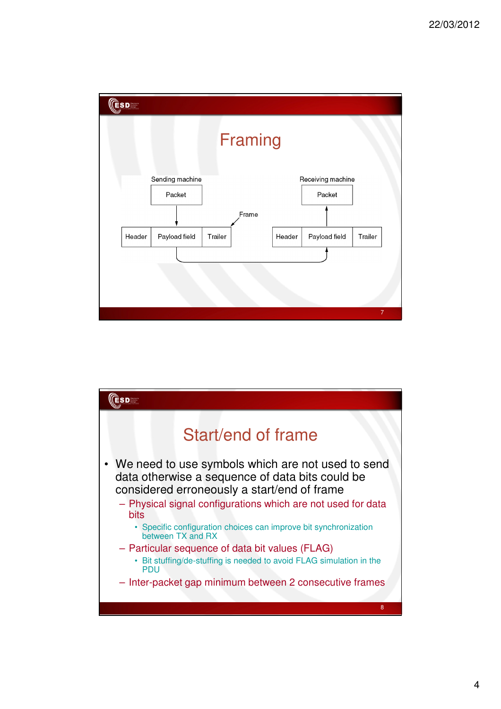

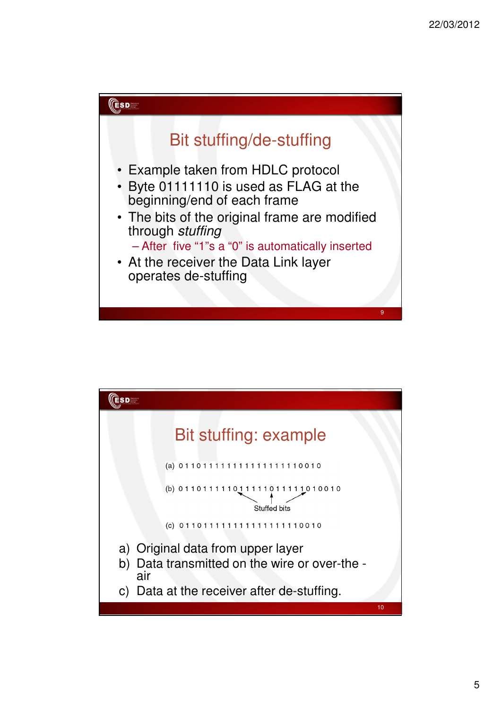

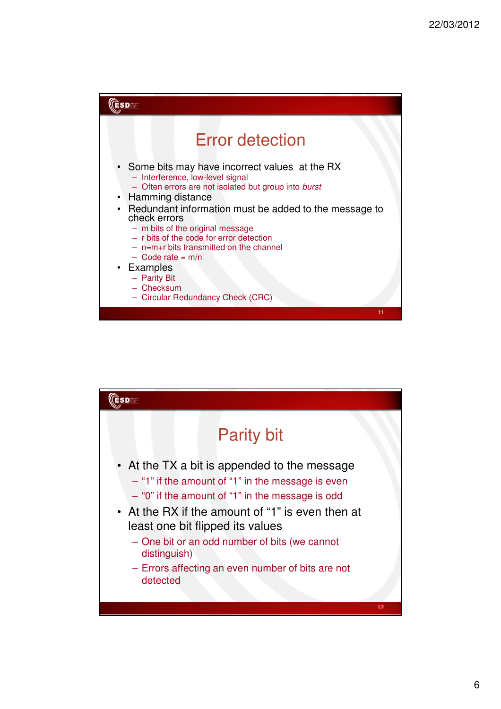| <b>ESD</b>                                                                                                                                                                                                                                                                                                                                                                                                                                                             |
|------------------------------------------------------------------------------------------------------------------------------------------------------------------------------------------------------------------------------------------------------------------------------------------------------------------------------------------------------------------------------------------------------------------------------------------------------------------------|
| <b>Error detection</b><br>• Some bits may have incorrect values at the RX<br>- Interference, low-level signal<br>- Often errors are not isolated but group into burst<br>• Hamming distance<br>• Redundant information must be added to the message to<br>check errors<br>- m bits of the original message<br>- r bits of the code for error detection<br>$-$ n=m+r bits transmitted on the channel<br>$-$ Code rate = m/n<br>• Examples<br>- Parity Bit<br>- Checksum |
| - Circular Redundancy Check (CRC)<br>11                                                                                                                                                                                                                                                                                                                                                                                                                                |

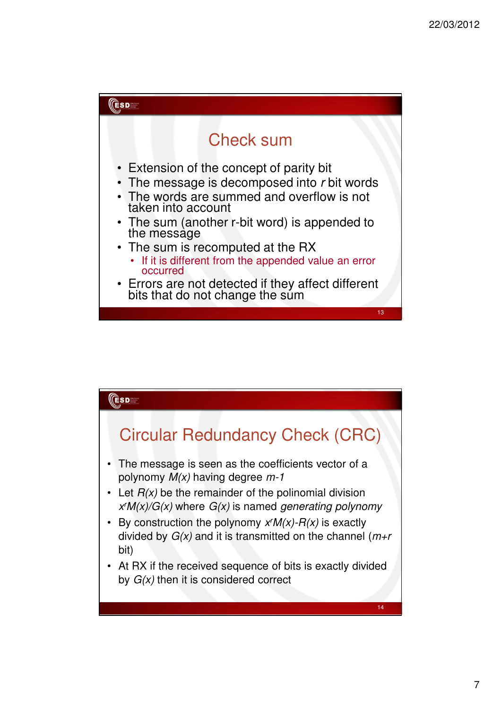

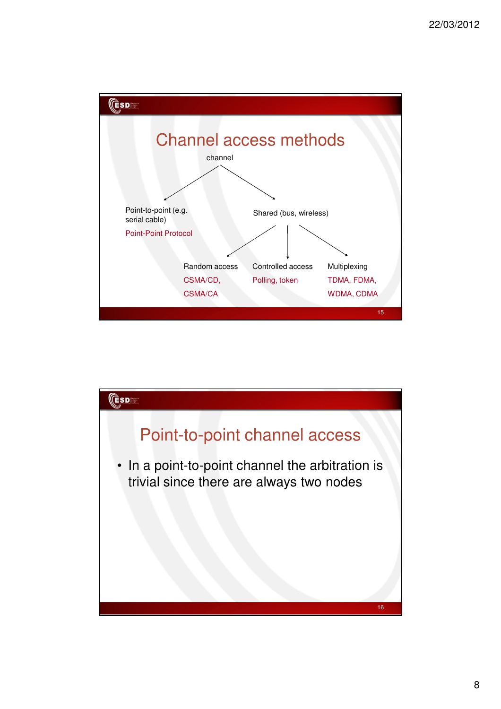

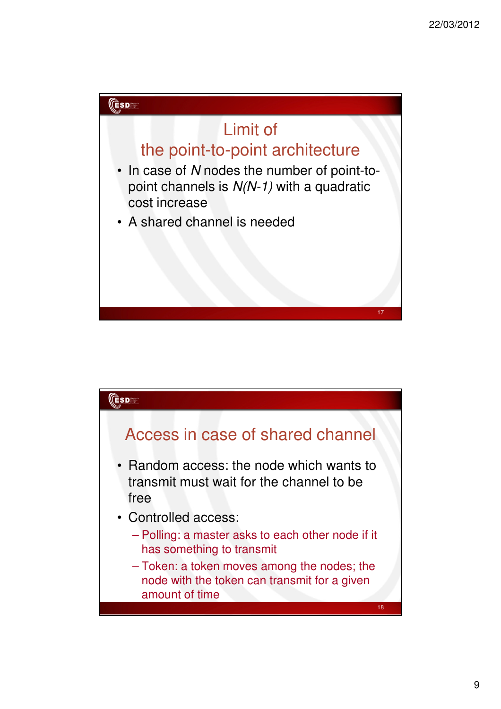



9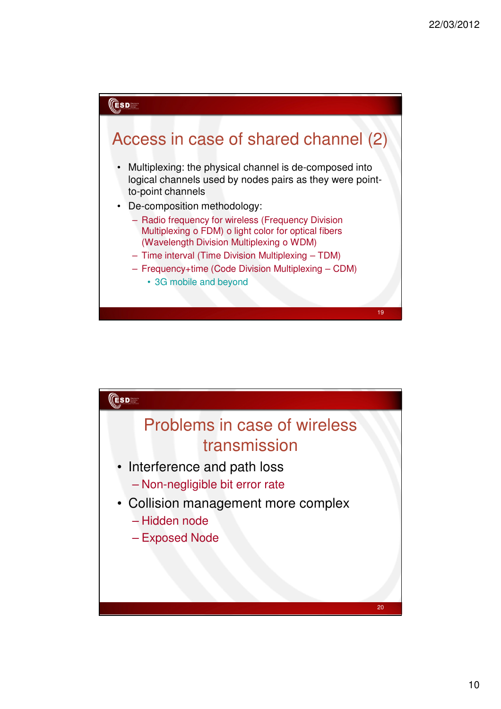

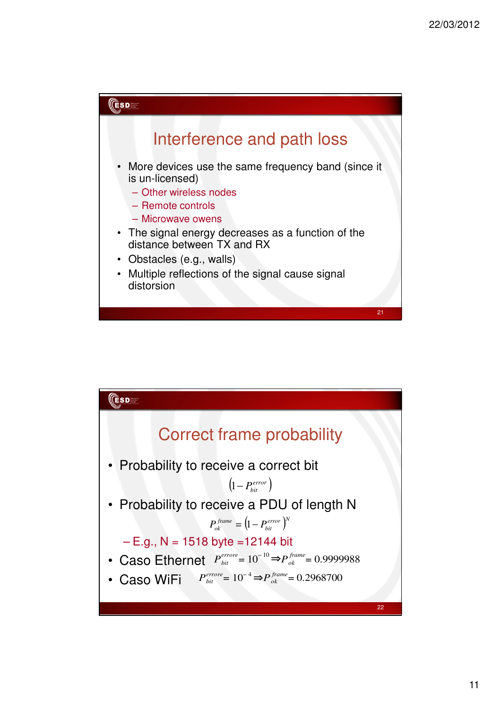

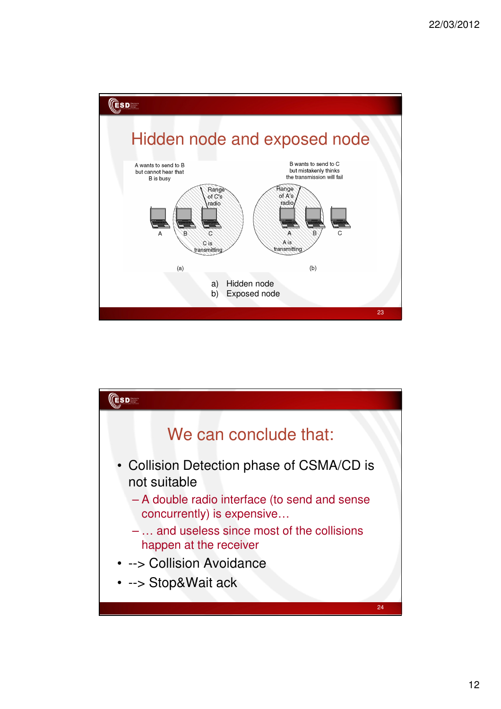

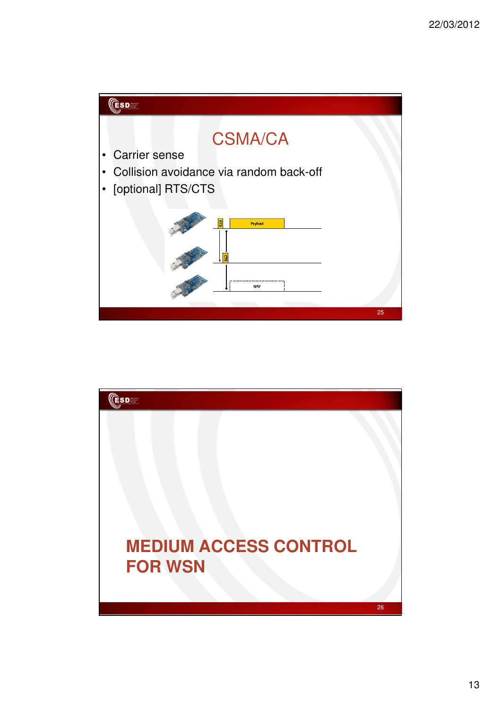

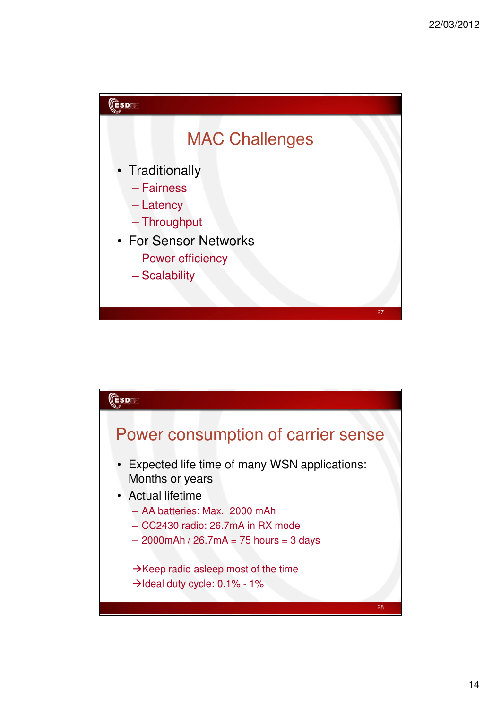

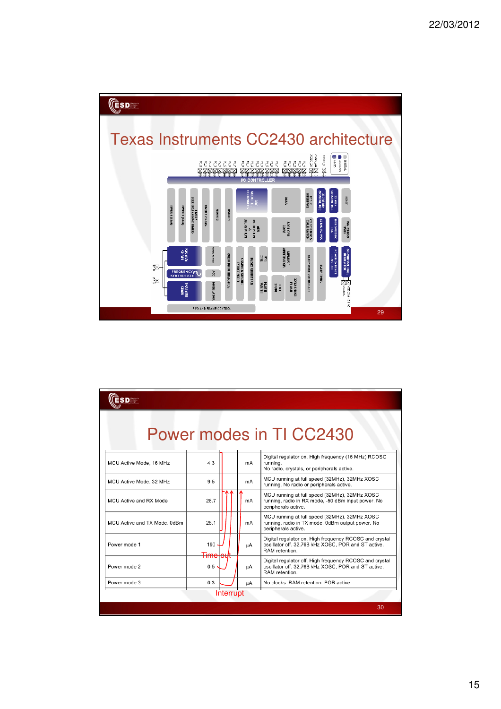

|                              |                           |    | Power modes in TI CC2430                                                                                                         |
|------------------------------|---------------------------|----|----------------------------------------------------------------------------------------------------------------------------------|
| MCU Active Mode, 16 MHz      | 4.3                       | mA | Digital regulator on, High frequency (16 MHz) RCOSC<br>running.<br>No radio, crystals, or peripherals active.                    |
| MCU Active Mode, 32 MHz      | 9.5                       | mA | MCU running at full speed (32MHz), 32MHz XOSC<br>running. No radio or peripherals active.                                        |
| MCU Active and RX Mode       | 26.7                      | mA | MCU running at full speed (32MHz), 32MHz XOSC<br>running, radio in RX mode, -50 dBm input power. No<br>peripherals active.       |
| MCU Active and TX Mode, 0dBm | 28.1                      | mA | MCU running at full speed (32MHz), 32MHz XOSC<br>running, radio in TX mode, 0dBm output power. No<br>peripherals active.         |
| Power mode 1                 | 190                       | цA | Digital regulator on, High frequency RCOSC and crystal<br>oscillator off. 32.768 kHz XOSC, POR and ST active.<br>RAM retention.  |
| Power mode 2                 | <del>imelout</del><br>0.5 | цA | Digital regulator off, High frequency RCOSC and crystal<br>oscillator off. 32.768 kHz XOSC, POR and ST active.<br>RAM retention. |
| Power mode 3                 | 0.3                       | цA | No clocks. RAM retention. POR active.                                                                                            |
|                              | Interrupt                 |    |                                                                                                                                  |
|                              |                           |    | 30                                                                                                                               |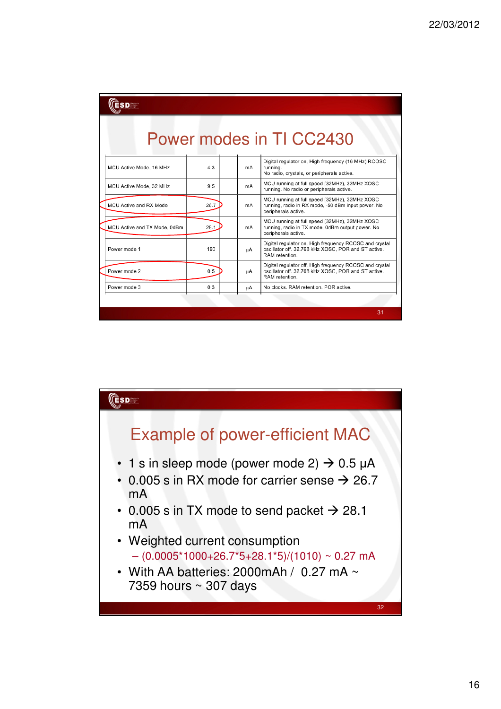| <b>SD System</b>             |      |    |                                                                                                                                  |
|------------------------------|------|----|----------------------------------------------------------------------------------------------------------------------------------|
|                              |      |    | Power modes in TI CC2430                                                                                                         |
| MCU Active Mode, 16 MHz      | 4.3  | mA | Digital regulator on, High frequency (16 MHz) RCOSC<br>running.<br>No radio, crystals, or peripherals active.                    |
| MCU Active Mode, 32 MHz      | 9.5  | mA | MCU running at full speed (32MHz), 32MHz XOSC<br>running. No radio or peripherals active.                                        |
| MCU Active and RX Mode       | 26.7 | mA | MCU running at full speed (32MHz), 32MHz XOSC<br>running, radio in RX mode, -50 dBm input power. No<br>peripherals active.       |
| MCU Active and TX Mode, 0dBm | 28.1 | mA | MCU running at full speed (32MHz), 32MHz XOSC<br>running, radio in TX mode, 0dBm output power. No<br>peripherals active.         |
| Power mode 1                 | 190  | uА | Digital regulator on, High frequency RCOSC and crystal<br>oscillator off. 32.768 kHz XOSC, POR and ST active.<br>RAM retention.  |
| Power mode 2                 | 0.5  | цA | Digital regulator off, High frequency RCOSC and crystal<br>oscillator off. 32.768 kHz XOSC, POR and ST active.<br>RAM retention. |
| Power mode 3                 | 0.3  | цA | No clocks. RAM retention. POR active.                                                                                            |
|                              |      |    |                                                                                                                                  |
|                              |      |    | 31                                                                                                                               |

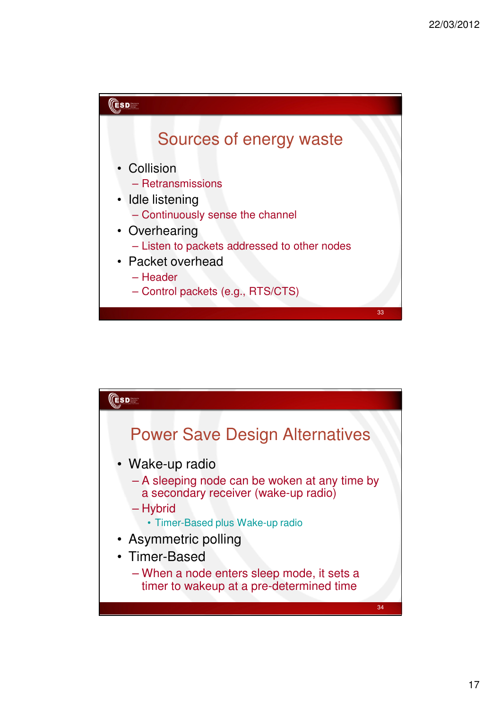

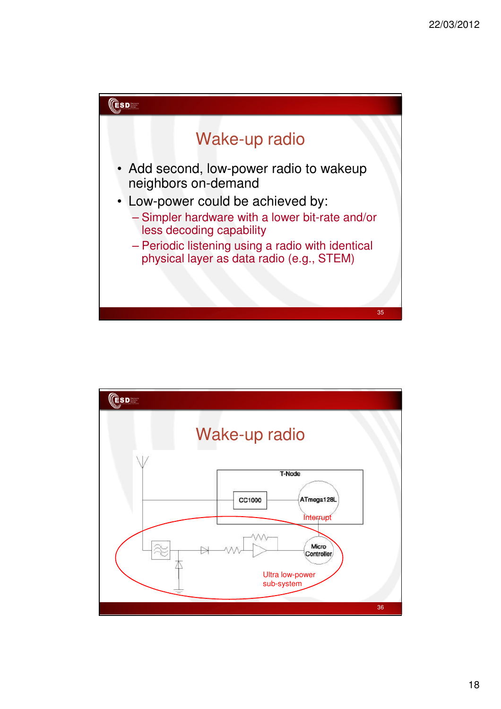

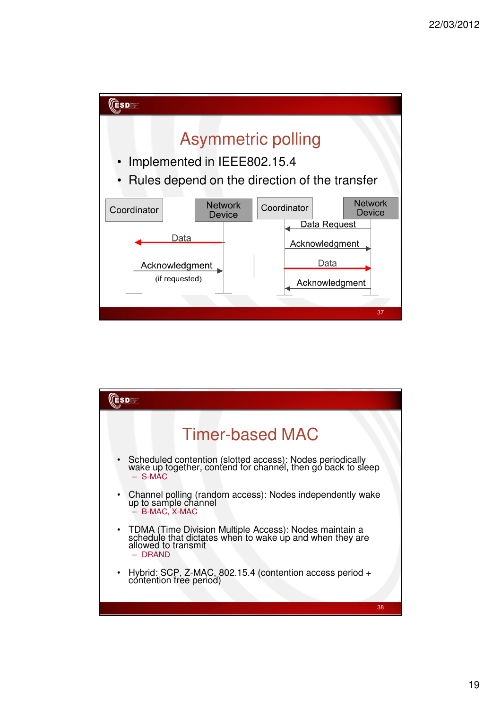

| $S \mathbf{D}^{\text{factors}}_{\text{bary}}$                                                                                                            |
|----------------------------------------------------------------------------------------------------------------------------------------------------------|
| <b>Timer-based MAC</b>                                                                                                                                   |
| Scheduled contention (slotted access): Nodes periodically<br>wake up together, contend for channel, then go back to sleep<br>$-$ S-MAC                   |
| • Channel polling (random access): Nodes independently wake up to sample channel<br>- B-MAC, X-MAC                                                       |
| • TDMA (Time Division Multiple Access): Nodes maintain a<br>schedule that dictates when to wake up and when they are<br>allowed to transmit<br>$-$ DRAND |
| Hybrid: SCP, Z-MAC, 802.15.4 (contention access period + contention free period)<br>$\bullet$                                                            |
| 38                                                                                                                                                       |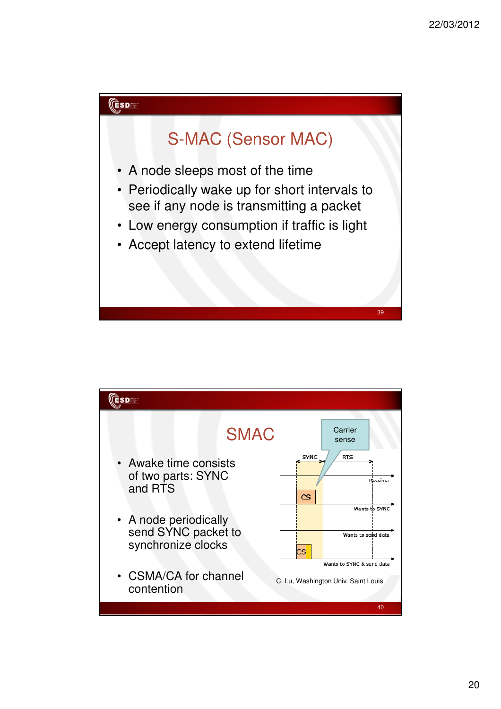

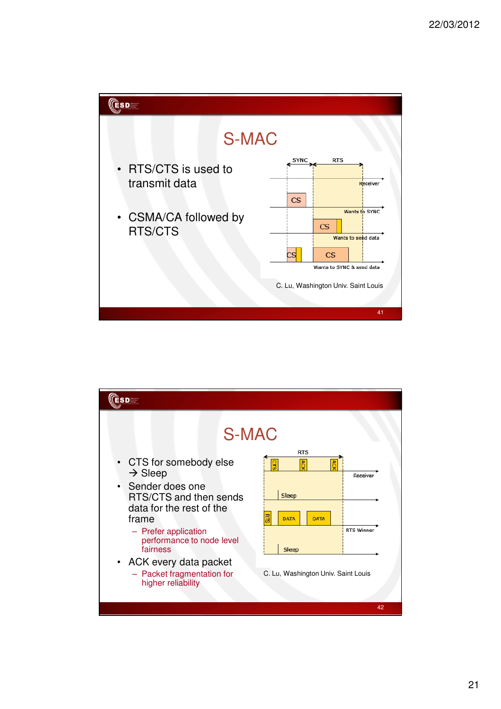

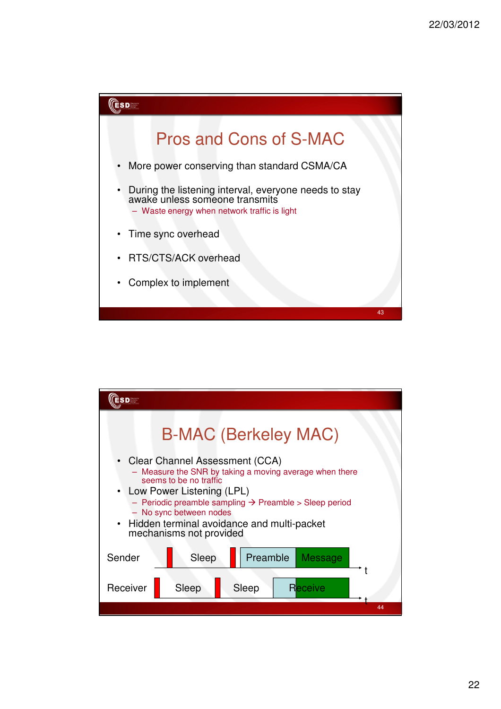

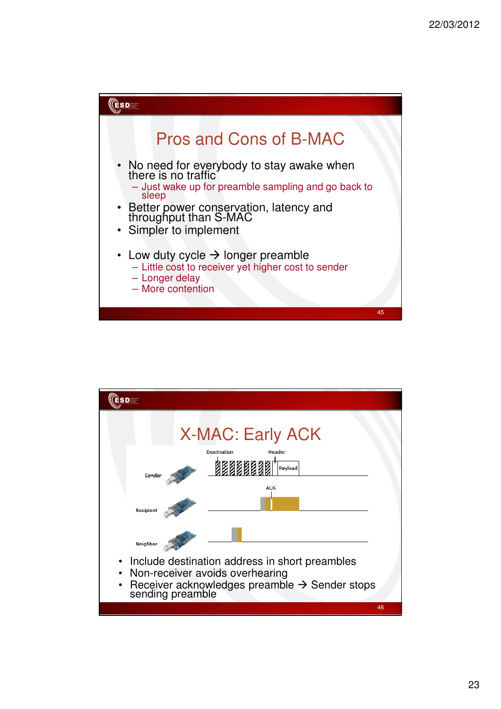

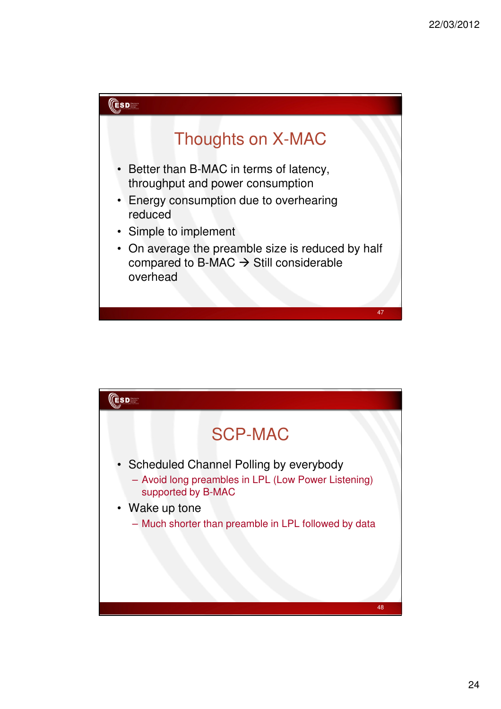

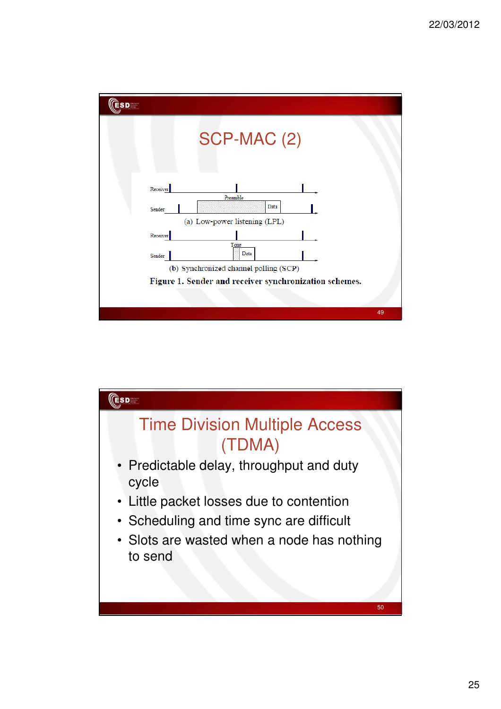

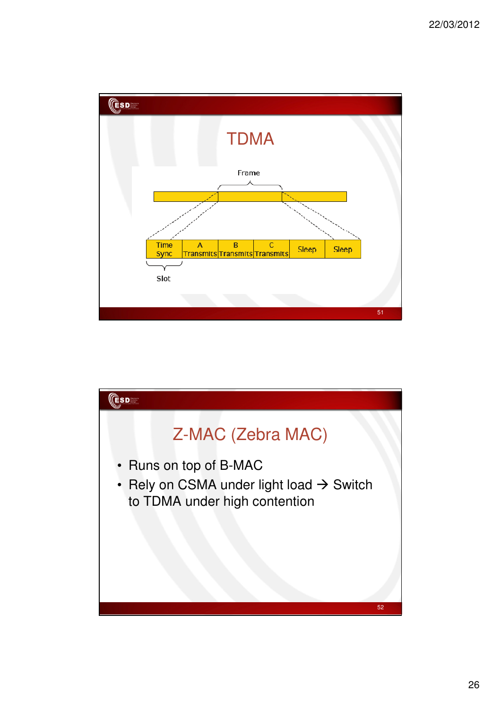